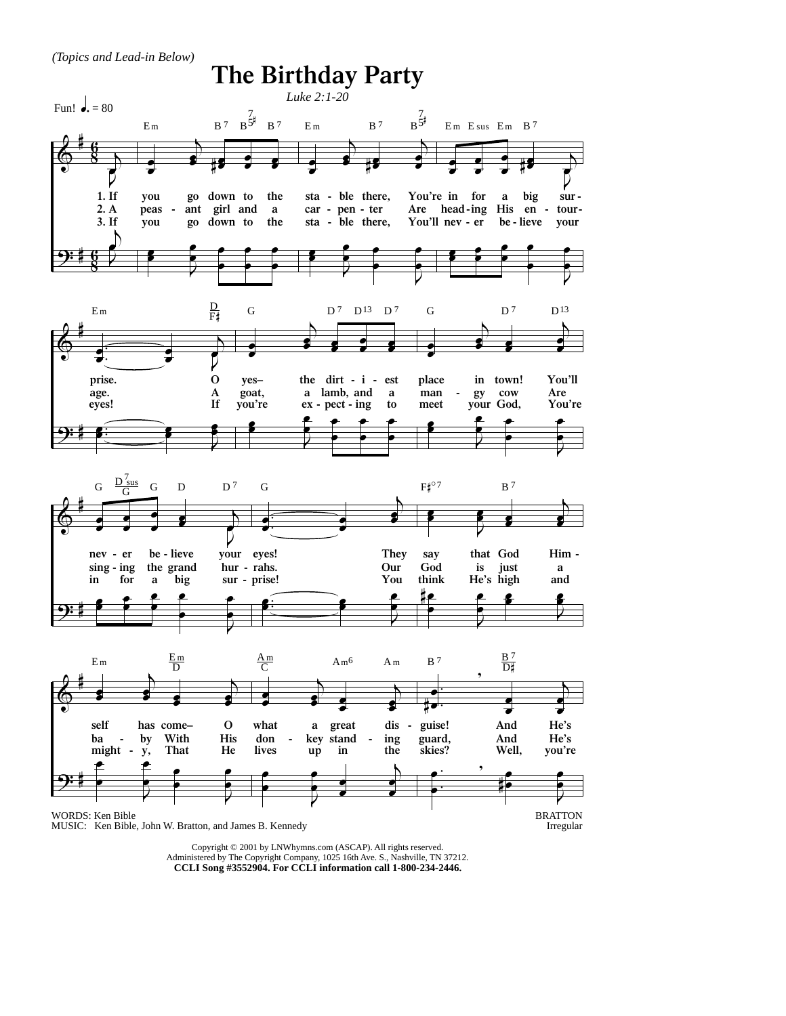*(Topics and Lead-in Below)*



Copyright © 2001 by LNWhymns.com (ASCAP). All rights reserved. Administered by The Copyright Company, 1025 16th Ave. S., Nashville, TN 37212. **CCLI Song #3552904. For CCLI information call 1-800-234-2446.**